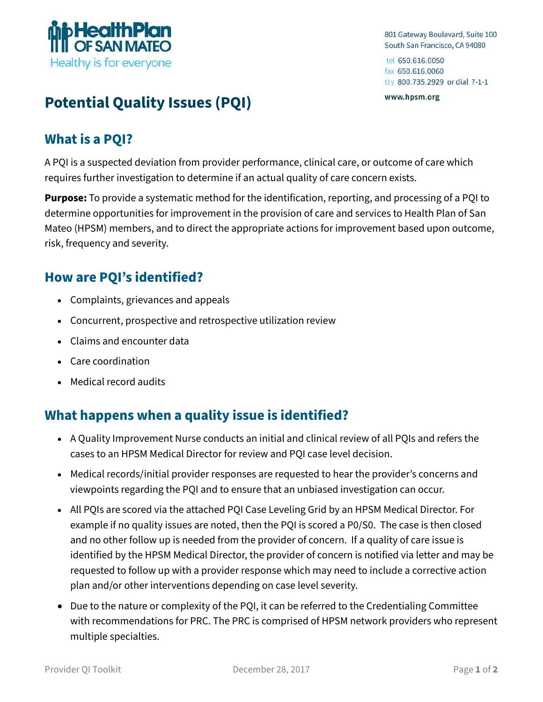

801 Gateway Boulevard, Suite 100 South San Francisco, CA 94080

tel 650.616.0050 fax 650,616,0060 tty 800.735.2929 or dial 7-1-1

www.hpsm.org

# **Potential Quality Issues (PQI)**

# **What is a PQI?**

A PQI is a suspected deviation from provider performance, clinical care, or outcome of care which requires further investigation to determine if an actual quality of care concern exists.

**Purpose:** To provide a systematic method for the identification, reporting, and processing of a PQI to determine opportunities for improvement in the provision of care and services to Health Plan of San Mateo (HPSM) members, and to direct the appropriate actions for improvement based upon outcome, risk, frequency and severity.

# **How are PQI's identified?**

- Complaints, grievances and appeals
- Concurrent, prospective and retrospective utilization review
- Claims and encounter data
- Care coordination
- Medical record audits

## **What happens when a quality issue is identified?**

- A Quality Improvement Nurse conducts an initial and clinical review of all PQIs and refers the cases to an HPSM Medical Director for review and PQI case level decision.
- Medical records/initial provider responses are requested to hear the provider's concerns and viewpoints regarding the PQI and to ensure that an unbiased investigation can occur.
- All PQIs are scored via the attached PQI Case Leveling Grid by an HPSM Medical Director. For example if no quality issues are noted, then the PQI is scored a P0/S0. The case is then closed and no other follow up is needed from the provider of concern. If a quality of care issue is identified by the HPSM Medical Director, the provider of concern is notified via letter and may be requested to follow up with a provider response which may need to include a corrective action plan and/or other interventions depending on case level severity.
- Due to the nature or complexity of the PQI, it can be referred to the Credentialing Committee with recommendations for PRC. The PRC is comprised of HPSM network providers who represent multiple specialties.